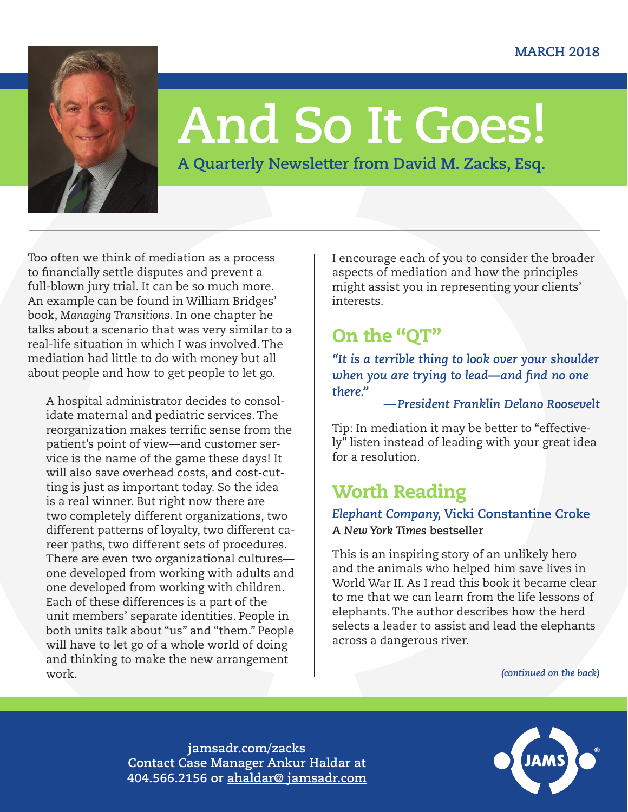

# **And So It Goes!**

**A Quarterly Newsletter from David M. Zacks, Esq.**

Too often we think of mediation as a process to financially settle disputes and prevent a full-blown jury trial. It can be so much more. An example can be found in William Bridges' book, *Managing Transitions.* In one chapter he talks about a scenario that was very similar to a real-life situation in which I was involved. The mediation had little to do with money but all about people and how to get people to let go.

A hospital administrator decides to consolidate maternal and pediatric services. The reorganization makes terrific sense from the patient's point of view—and customer service is the name of the game these days! It will also save overhead costs, and cost-cutting is just as important today. So the idea is a real winner. But right now there are two completely different organizations, two different patterns of loyalty, two different career paths, two different sets of procedures. There are even two organizational cultures one developed from working with adults and one developed from working with children. Each of these differences is a part of the unit members' separate identities. People in both units talk about "us" and "them." People will have to let go of a whole world of doing and thinking to make the new arrangement work.

I encourage each of you to consider the broader aspects of mediation and how the principles might assist you in representing your clients' interests.

# On the "QT"

*"It is a terrible thing to look over your shoulder when you are trying to lead—and find no one there."*

#### *—President Franklin Delano Roosevelt*

Tip: In mediation it may be better to "effectively" listen instead of leading with your great idea for a resolution.

## Worth Reading

*Elephant Company,* **Vicki Constantine Croke A** *New York Times* **bestseller**

This is an inspiring story of an unlikely hero and the animals who helped him save lives in World War II. As I read this book it became clear to me that we can learn from the life lessons of elephants. The author describes how the herd selects a leader to assist and lead the elephants across a dangerous river.

*(continued on the back)*

**[jamsadr.com/zacks](http://jamsadr.com/zacks) Contact Case Manager Ankur Haldar at 404.566.2156 or [ahaldar@ jamsadr.com](mailto:ahaldar%40%20jamsadr.com?subject=)**